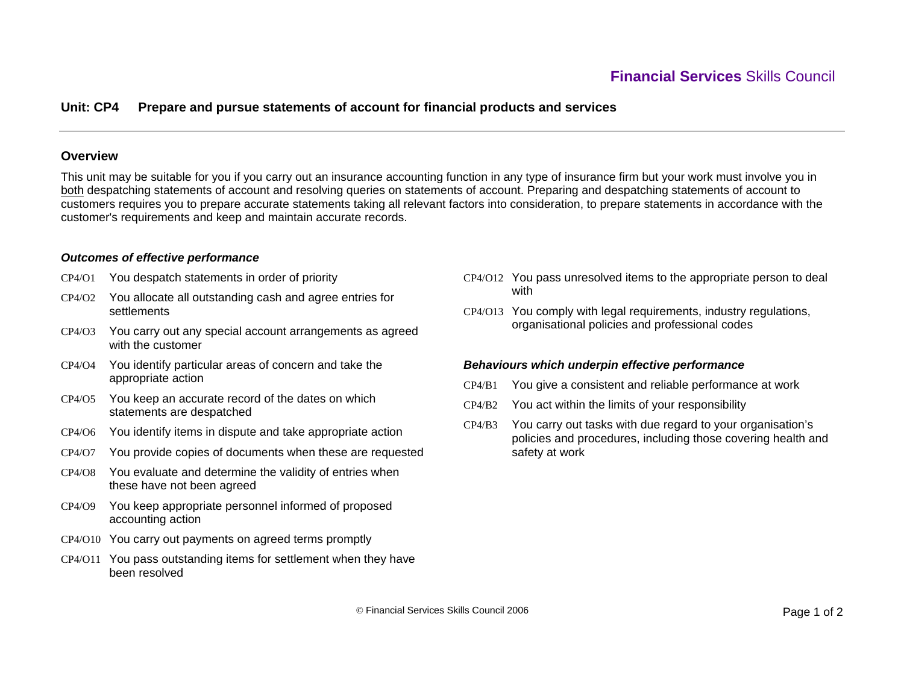# **Unit: CP4 Prepare and pursue statements of account for financial products and services**

### **Overview**

This unit may be suitable for you if you carry out an insurance accounting function in any type of insurance firm but your work must involve you in both despatching statements of account and resolving queries on statements of account. Preparing and despatching statements of account to customers requires you to prepare accurate statements taking all relevant factors into consideration, to prepare statements in accordance with the customer's requirements and keep and maintain accurate records.

#### *Outcomes of effective performance*

- CP4/O1 You despatch statements in order of priority
- CP4/O2 You allocate all outstanding cash and agree entries for **settlements**
- CP4/O3 You carry out any special account arrangements as agreed with the customer
- CP4/O4 You identify particular areas of concern and take the appropriate action
- CP4/O5 You keep an accurate record of the dates on which statements are despatched
- CP4/O6 You identify items in dispute and take appropriate action
- CP4/O7 You provide copies of documents when these are requested
- CP4/O8 You evaluate and determine the validity of entries when these have not been agreed
- CP4/O9 You keep appropriate personnel informed of proposed accounting action
- CP4/O10 You carry out payments on agreed terms promptly
- CP4/O11 You pass outstanding items for settlement when they have been resolved
- CP4/O12 You pass unresolved items to the appropriate person to deal with
- CP4/O13 You comply with legal requirements, industry regulations, organisational policies and professional codes

#### *Behaviours which underpin effective performance*

- CP4/B1You give a consistent and reliable performance at work
- CP4/B2 You act within the limits of your responsibility
- CP4/B3 You carry out tasks with due regard to your organisation's policies and procedures, including those covering health and safety at work

© Financial Services Skills Council 2006